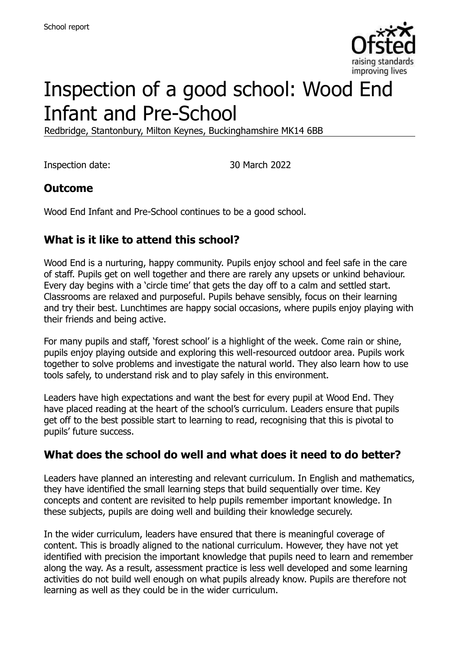

# Inspection of a good school: Wood End Infant and Pre-School

Redbridge, Stantonbury, Milton Keynes, Buckinghamshire MK14 6BB

Inspection date: 30 March 2022

#### **Outcome**

Wood End Infant and Pre-School continues to be a good school.

### **What is it like to attend this school?**

Wood End is a nurturing, happy community. Pupils enjoy school and feel safe in the care of staff. Pupils get on well together and there are rarely any upsets or unkind behaviour. Every day begins with a 'circle time' that gets the day off to a calm and settled start. Classrooms are relaxed and purposeful. Pupils behave sensibly, focus on their learning and try their best. Lunchtimes are happy social occasions, where pupils enjoy playing with their friends and being active.

For many pupils and staff, 'forest school' is a highlight of the week. Come rain or shine, pupils enjoy playing outside and exploring this well-resourced outdoor area. Pupils work together to solve problems and investigate the natural world. They also learn how to use tools safely, to understand risk and to play safely in this environment.

Leaders have high expectations and want the best for every pupil at Wood End. They have placed reading at the heart of the school's curriculum. Leaders ensure that pupils get off to the best possible start to learning to read, recognising that this is pivotal to pupils' future success.

#### **What does the school do well and what does it need to do better?**

Leaders have planned an interesting and relevant curriculum. In English and mathematics, they have identified the small learning steps that build sequentially over time. Key concepts and content are revisited to help pupils remember important knowledge. In these subjects, pupils are doing well and building their knowledge securely.

In the wider curriculum, leaders have ensured that there is meaningful coverage of content. This is broadly aligned to the national curriculum. However, they have not yet identified with precision the important knowledge that pupils need to learn and remember along the way. As a result, assessment practice is less well developed and some learning activities do not build well enough on what pupils already know. Pupils are therefore not learning as well as they could be in the wider curriculum.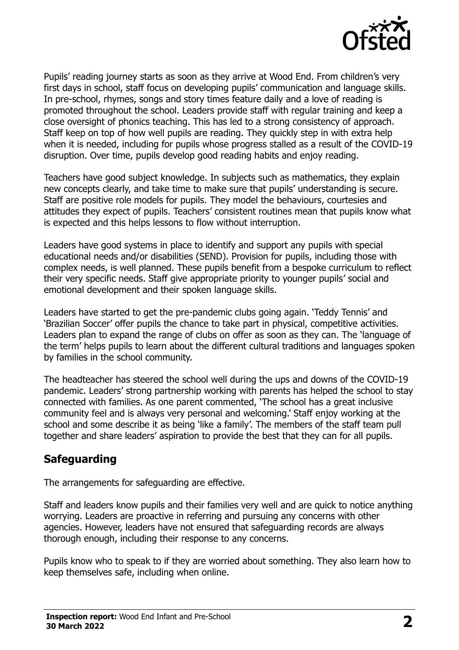

Pupils' reading journey starts as soon as they arrive at Wood End. From children's very first days in school, staff focus on developing pupils' communication and language skills. In pre-school, rhymes, songs and story times feature daily and a love of reading is promoted throughout the school. Leaders provide staff with regular training and keep a close oversight of phonics teaching. This has led to a strong consistency of approach. Staff keep on top of how well pupils are reading. They quickly step in with extra help when it is needed, including for pupils whose progress stalled as a result of the COVID-19 disruption. Over time, pupils develop good reading habits and enjoy reading.

Teachers have good subject knowledge. In subjects such as mathematics, they explain new concepts clearly, and take time to make sure that pupils' understanding is secure. Staff are positive role models for pupils. They model the behaviours, courtesies and attitudes they expect of pupils. Teachers' consistent routines mean that pupils know what is expected and this helps lessons to flow without interruption.

Leaders have good systems in place to identify and support any pupils with special educational needs and/or disabilities (SEND). Provision for pupils, including those with complex needs, is well planned. These pupils benefit from a bespoke curriculum to reflect their very specific needs. Staff give appropriate priority to younger pupils' social and emotional development and their spoken language skills.

Leaders have started to get the pre-pandemic clubs going again. 'Teddy Tennis' and 'Brazilian Soccer' offer pupils the chance to take part in physical, competitive activities. Leaders plan to expand the range of clubs on offer as soon as they can. The 'language of the term' helps pupils to learn about the different cultural traditions and languages spoken by families in the school community.

The headteacher has steered the school well during the ups and downs of the COVID-19 pandemic. Leaders' strong partnership working with parents has helped the school to stay connected with families. As one parent commented, 'The school has a great inclusive community feel and is always very personal and welcoming.' Staff enjoy working at the school and some describe it as being 'like a family'. The members of the staff team pull together and share leaders' aspiration to provide the best that they can for all pupils.

#### **Safeguarding**

The arrangements for safeguarding are effective.

Staff and leaders know pupils and their families very well and are quick to notice anything worrying. Leaders are proactive in referring and pursuing any concerns with other agencies. However, leaders have not ensured that safeguarding records are always thorough enough, including their response to any concerns.

Pupils know who to speak to if they are worried about something. They also learn how to keep themselves safe, including when online.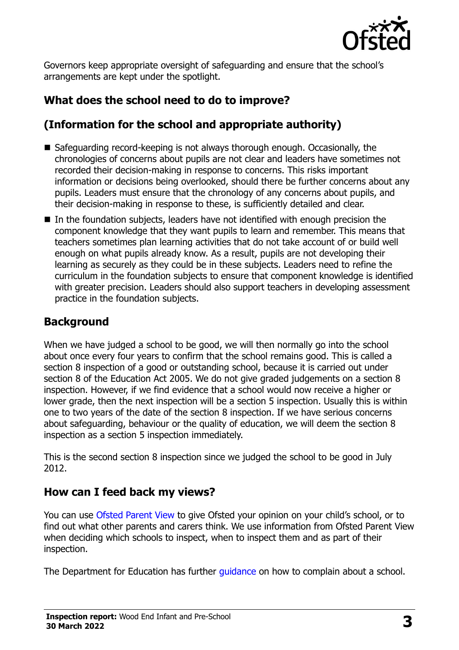

Governors keep appropriate oversight of safeguarding and ensure that the school's arrangements are kept under the spotlight.

# **What does the school need to do to improve?**

# **(Information for the school and appropriate authority)**

- Safeguarding record-keeping is not always thorough enough. Occasionally, the chronologies of concerns about pupils are not clear and leaders have sometimes not recorded their decision-making in response to concerns. This risks important information or decisions being overlooked, should there be further concerns about any pupils. Leaders must ensure that the chronology of any concerns about pupils, and their decision-making in response to these, is sufficiently detailed and clear.
- In the foundation subjects, leaders have not identified with enough precision the component knowledge that they want pupils to learn and remember. This means that teachers sometimes plan learning activities that do not take account of or build well enough on what pupils already know. As a result, pupils are not developing their learning as securely as they could be in these subjects. Leaders need to refine the curriculum in the foundation subjects to ensure that component knowledge is identified with greater precision. Leaders should also support teachers in developing assessment practice in the foundation subjects.

# **Background**

When we have judged a school to be good, we will then normally go into the school about once every four years to confirm that the school remains good. This is called a section 8 inspection of a good or outstanding school, because it is carried out under section 8 of the Education Act 2005. We do not give graded judgements on a section 8 inspection. However, if we find evidence that a school would now receive a higher or lower grade, then the next inspection will be a section 5 inspection. Usually this is within one to two years of the date of the section 8 inspection. If we have serious concerns about safeguarding, behaviour or the quality of education, we will deem the section 8 inspection as a section 5 inspection immediately.

This is the second section 8 inspection since we judged the school to be good in July 2012.

#### **How can I feed back my views?**

You can use [Ofsted Parent View](https://parentview.ofsted.gov.uk/) to give Ofsted your opinion on your child's school, or to find out what other parents and carers think. We use information from Ofsted Parent View when deciding which schools to inspect, when to inspect them and as part of their inspection.

The Department for Education has further *guidance* on how to complain about a school.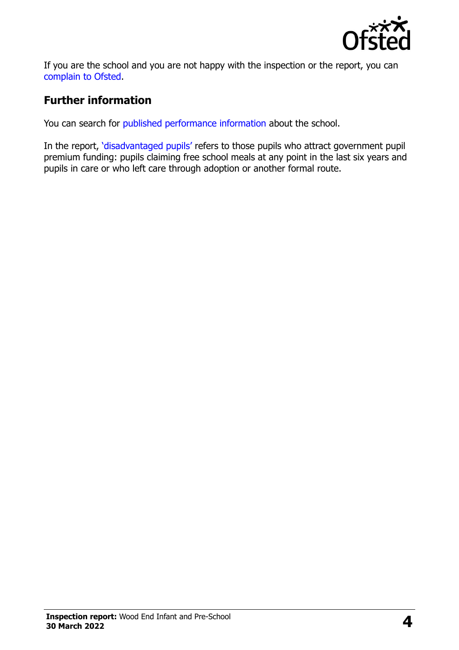

If you are the school and you are not happy with the inspection or the report, you can [complain to Ofsted.](https://www.gov.uk/complain-ofsted-report)

# **Further information**

You can search for [published performance information](http://www.compare-school-performance.service.gov.uk/) about the school.

In the report, '[disadvantaged pupils](http://www.gov.uk/guidance/pupil-premium-information-for-schools-and-alternative-provision-settings)' refers to those pupils who attract government pupil premium funding: pupils claiming free school meals at any point in the last six years and pupils in care or who left care through adoption or another formal route.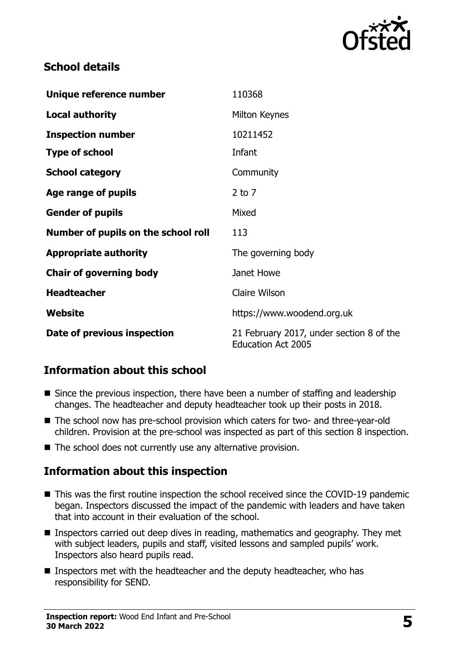

# **School details**

| Unique reference number             | 110368                                                                |
|-------------------------------------|-----------------------------------------------------------------------|
| <b>Local authority</b>              | Milton Keynes                                                         |
| <b>Inspection number</b>            | 10211452                                                              |
| <b>Type of school</b>               | Infant                                                                |
| <b>School category</b>              | Community                                                             |
| Age range of pupils                 | $2$ to $7$                                                            |
| <b>Gender of pupils</b>             | Mixed                                                                 |
| Number of pupils on the school roll | 113                                                                   |
| <b>Appropriate authority</b>        | The governing body                                                    |
| <b>Chair of governing body</b>      | Janet Howe                                                            |
| <b>Headteacher</b>                  | Claire Wilson                                                         |
| Website                             | https://www.woodend.org.uk                                            |
| Date of previous inspection         | 21 February 2017, under section 8 of the<br><b>Education Act 2005</b> |

# **Information about this school**

- Since the previous inspection, there have been a number of staffing and leadership changes. The headteacher and deputy headteacher took up their posts in 2018.
- The school now has pre-school provision which caters for two- and three-year-old children. Provision at the pre-school was inspected as part of this section 8 inspection.
- The school does not currently use any alternative provision.

#### **Information about this inspection**

- This was the first routine inspection the school received since the COVID-19 pandemic began. Inspectors discussed the impact of the pandemic with leaders and have taken that into account in their evaluation of the school.
- Inspectors carried out deep dives in reading, mathematics and geography. They met with subject leaders, pupils and staff, visited lessons and sampled pupils' work. Inspectors also heard pupils read.
- Inspectors met with the headteacher and the deputy headteacher, who has responsibility for SEND.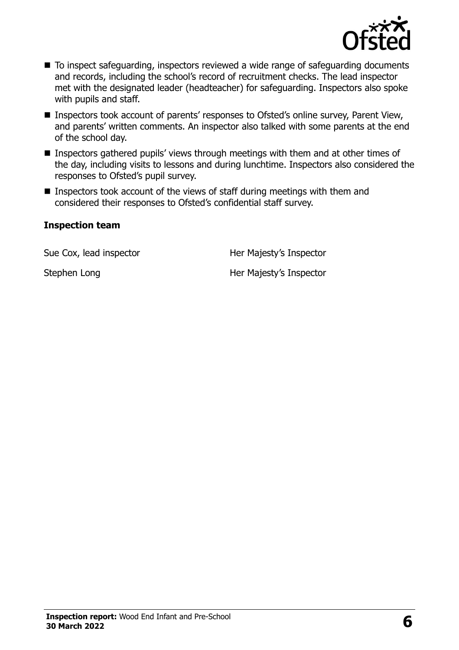

- To inspect safeguarding, inspectors reviewed a wide range of safeguarding documents and records, including the school's record of recruitment checks. The lead inspector met with the designated leader (headteacher) for safeguarding. Inspectors also spoke with pupils and staff.
- Inspectors took account of parents' responses to Ofsted's online survey, Parent View, and parents' written comments. An inspector also talked with some parents at the end of the school day.
- Inspectors gathered pupils' views through meetings with them and at other times of the day, including visits to lessons and during lunchtime. Inspectors also considered the responses to Ofsted's pupil survey.
- Inspectors took account of the views of staff during meetings with them and considered their responses to Ofsted's confidential staff survey.

#### **Inspection team**

Sue Cox, lead inspector **Her Majesty's Inspector** 

Stephen Long Her Majesty's Inspector